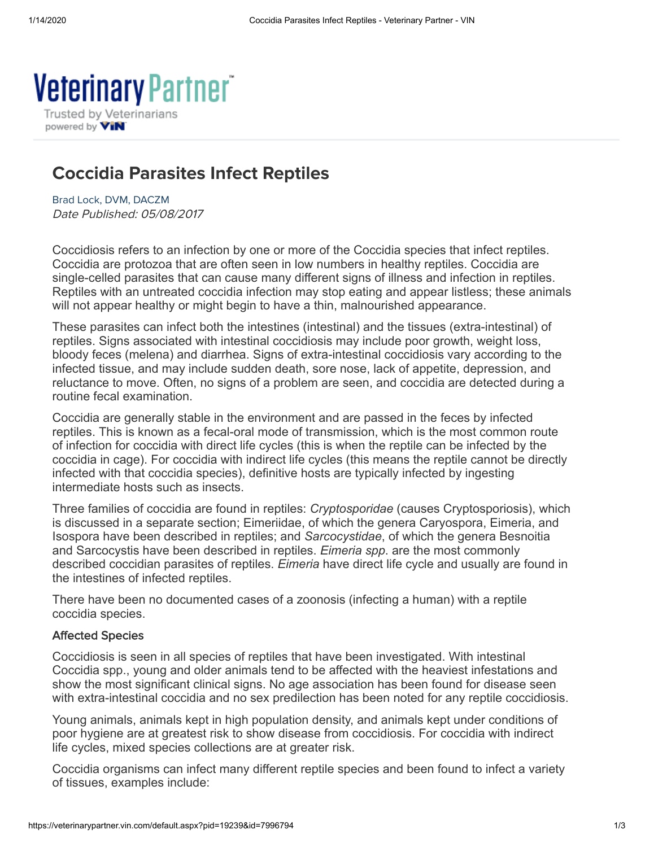

# Coccidia Parasites Infect Reptiles

[Brad Lock, DVM, DACZM](https://veterinarypartner.vin.com/default.aspx?pId=19239&catId=102896&id=8247402&ind=1611&objTypeID=10) Date Published: 05/08/2017

Coccidiosis refers to an infection by one or more of the Coccidia species that infect reptiles. Coccidia are protozoa that are often seen in low numbers in healthy reptiles. Coccidia are single-celled parasites that can cause many different signs of illness and infection in reptiles. Reptiles with an untreated coccidia infection may stop eating and appear listless; these animals will not appear healthy or might begin to have a thin, malnourished appearance.

These parasites can infect both the intestines (intestinal) and the tissues (extra-intestinal) of reptiles. Signs associated with intestinal coccidiosis may include poor growth, weight loss, bloody feces (melena) and diarrhea. Signs of extra-intestinal coccidiosis vary according to the infected tissue, and may include sudden death, sore nose, lack of appetite, depression, and reluctance to move. Often, no signs of a problem are seen, and coccidia are detected during a routine fecal examination.

Coccidia are generally stable in the environment and are passed in the feces by infected reptiles. This is known as a fecal-oral mode of transmission, which is the most common route of infection for coccidia with direct life cycles (this is when the reptile can be infected by the coccidia in cage). For coccidia with indirect life cycles (this means the reptile cannot be directly infected with that coccidia species), definitive hosts are typically infected by ingesting intermediate hosts such as insects.

Three families of coccidia are found in reptiles: *Cryptosporidae* (causes Cryptosporiosis), which is discussed in a separate section; Eimeriidae, of which the genera Caryospora, Eimeria, and Isospora have been described in reptiles; and *Sarcocystidae*, of which the genera Besnoitia and Sarcocystis have been described in reptiles. *Eimeria spp*. are the most commonly described coccidian parasites of reptiles. *Eimeria* have direct life cycle and usually are found in the intestines of infected reptiles.

There have been no documented cases of a zoonosis (infecting a human) with a reptile coccidia species.

#### Affected Species

Coccidiosis is seen in all species of reptiles that have been investigated. With intestinal Coccidia spp., young and older animals tend to be affected with the heaviest infestations and show the most significant clinical signs. No age association has been found for disease seen with extra-intestinal coccidia and no sex predilection has been noted for any reptile coccidiosis.

Young animals, animals kept in high population density, and animals kept under conditions of poor hygiene are at greatest risk to show disease from coccidiosis. For coccidia with indirect life cycles, mixed species collections are at greater risk.

Coccidia organisms can infect many different reptile species and been found to infect a variety of tissues, examples include: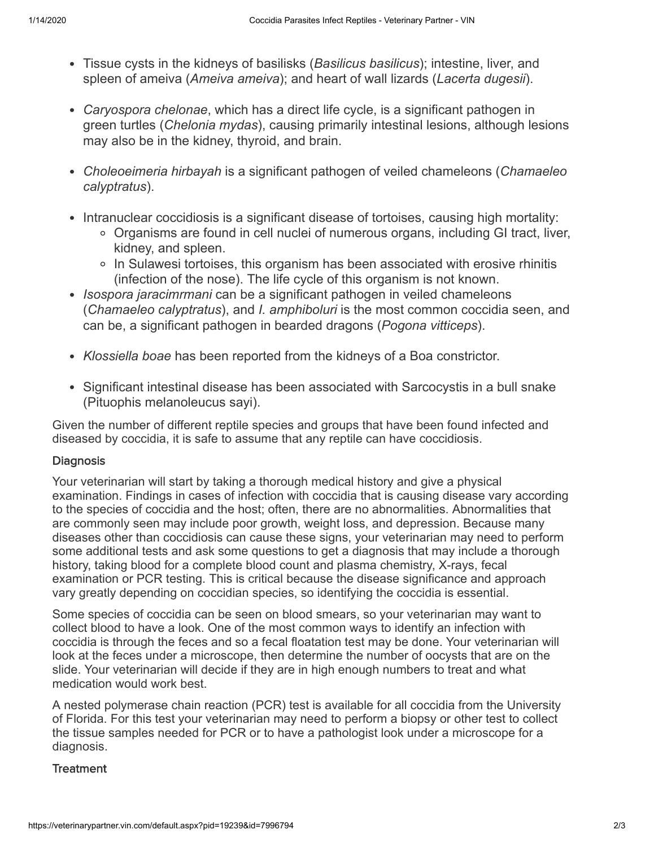- Tissue cysts in the kidneys of basilisks (*Basilicus basilicus*); intestine, liver, and spleen of ameiva (*Ameiva ameiva*); and heart of wall lizards (*Lacerta dugesii*).
- *Caryospora chelonae*, which has a direct life cycle, is a significant pathogen in green turtles (*Chelonia mydas*), causing primarily intestinal lesions, although lesions may also be in the kidney, thyroid, and brain.
- *Choleoeimeria hirbayah* is a significant pathogen of veiled chameleons (*Chamaeleo calyptratus*).
- Intranuclear coccidiosis is a significant disease of tortoises, causing high mortality:
	- Organisms are found in cell nuclei of numerous organs, including GI tract, liver, kidney, and spleen.
	- In Sulawesi tortoises, this organism has been associated with erosive rhinitis (infection of the nose). The life cycle of this organism is not known.
- *Isospora jaracimrmani* can be a significant pathogen in veiled chameleons (*Chamaeleo calyptratus*), and *I. amphiboluri* is the most common coccidia seen, and can be, a significant pathogen in bearded dragons (*Pogona vitticeps*).
- *Klossiella boae* has been reported from the kidneys of a Boa constrictor.
- Significant intestinal disease has been associated with Sarcocystis in a bull snake (Pituophis melanoleucus sayi).

Given the number of different reptile species and groups that have been found infected and diseased by coccidia, it is safe to assume that any reptile can have coccidiosis.

## **Diagnosis**

Your veterinarian will start by taking a thorough medical history and give a physical examination. Findings in cases of infection with coccidia that is causing disease vary according to the species of coccidia and the host; often, there are no abnormalities. Abnormalities that are commonly seen may include poor growth, weight loss, and depression. Because many diseases other than coccidiosis can cause these signs, your veterinarian may need to perform some additional tests and ask some questions to get a diagnosis that may include a thorough history, taking blood for a complete blood count and plasma chemistry, X-rays, fecal examination or PCR testing. This is critical because the disease significance and approach vary greatly depending on coccidian species, so identifying the coccidia is essential.

Some species of coccidia can be seen on blood smears, so your veterinarian may want to collect blood to have a look. One of the most common ways to identify an infection with coccidia is through the feces and so a fecal floatation test may be done. Your veterinarian will look at the feces under a microscope, then determine the number of oocysts that are on the slide. Your veterinarian will decide if they are in high enough numbers to treat and what medication would work best.

A nested polymerase chain reaction (PCR) test is available for all coccidia from the University of Florida. For this test your veterinarian may need to perform a biopsy or other test to collect the tissue samples needed for PCR or to have a pathologist look under a microscope for a diagnosis.

### **Treatment**